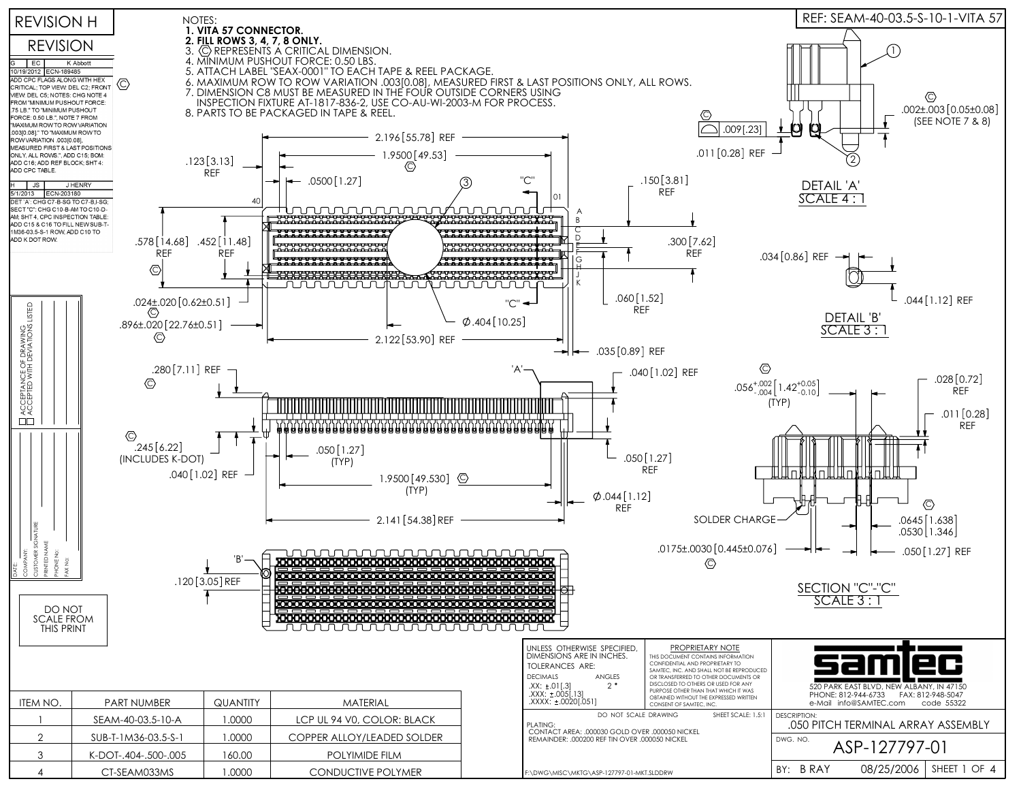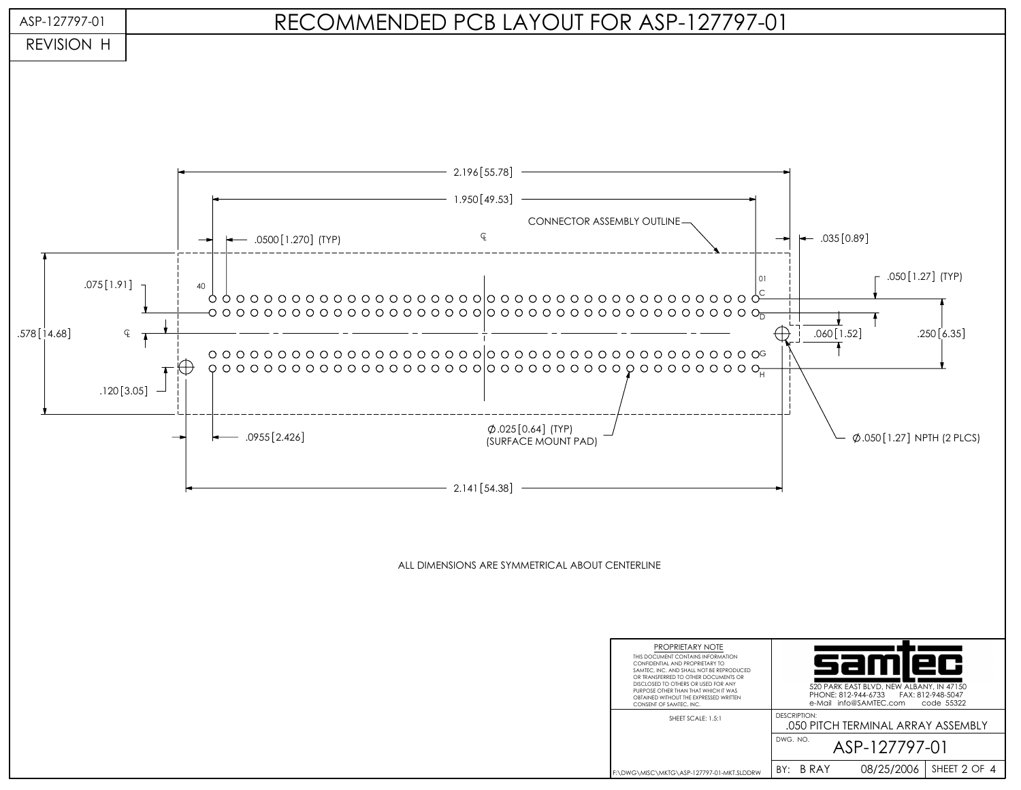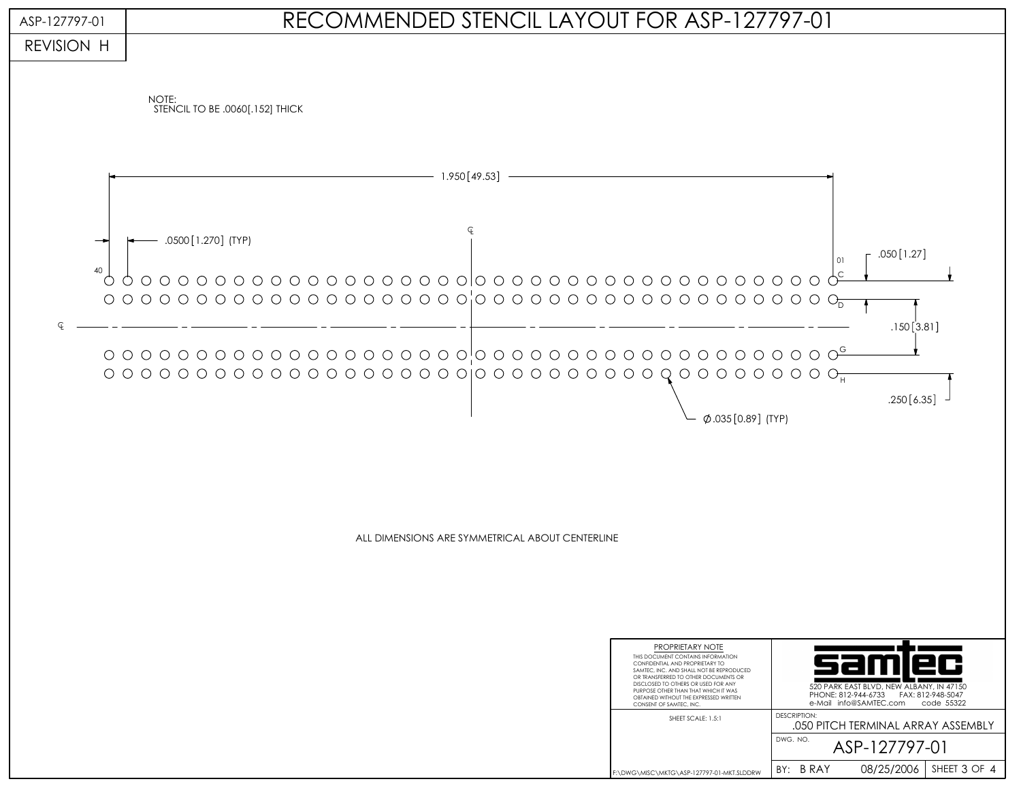